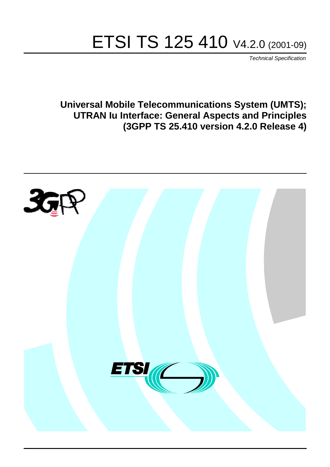# ETSI TS 125 410 V4.2.0 (2001-09)

Technical Specification

**Universal Mobile Telecommunications System (UMTS); UTRAN Iu Interface: General Aspects and Principles (3GPP TS 25.410 version 4.2.0 Release 4)**

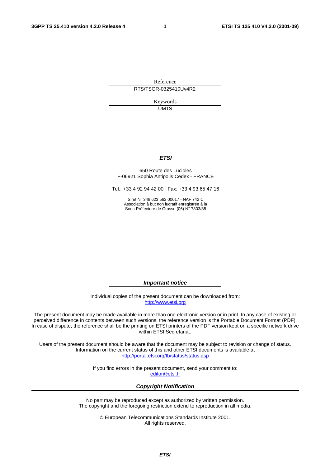Reference RTS/TSGR-0325410Uv4R2

> Keywords **UMTS**

#### **ETSI**

#### 650 Route des Lucioles F-06921 Sophia Antipolis Cedex - FRANCE

Tel.: +33 4 92 94 42 00 Fax: +33 4 93 65 47 16

Siret N° 348 623 562 00017 - NAF 742 C Association à but non lucratif enregistrée à la Sous-Préfecture de Grasse (06) N° 7803/88

**Important notice** 

Individual copies of the present document can be downloaded from: [http://www.etsi.org](http://www.etsi.org/)

The present document may be made available in more than one electronic version or in print. In any case of existing or perceived difference in contents between such versions, the reference version is the Portable Document Format (PDF). In case of dispute, the reference shall be the printing on ETSI printers of the PDF version kept on a specific network drive within ETSI Secretariat.

Users of the present document should be aware that the document may be subject to revision or change of status. Information on the current status of this and other ETSI documents is available at <http://portal.etsi.org/tb/status/status.asp>

> If you find errors in the present document, send your comment to: [editor@etsi.fr](mailto:editor@etsi.fr)

#### **Copyright Notification**

No part may be reproduced except as authorized by written permission. The copyright and the foregoing restriction extend to reproduction in all media.

> © European Telecommunications Standards Institute 2001. All rights reserved.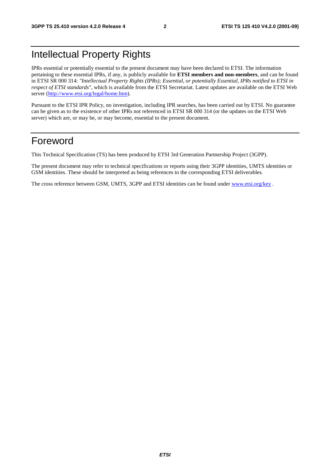# Intellectual Property Rights

IPRs essential or potentially essential to the present document may have been declared to ETSI. The information pertaining to these essential IPRs, if any, is publicly available for **ETSI members and non-members**, and can be found in ETSI SR 000 314: *"Intellectual Property Rights (IPRs); Essential, or potentially Essential, IPRs notified to ETSI in respect of ETSI standards"*, which is available from the ETSI Secretariat. Latest updates are available on the ETSI Web server ([http://www.etsi.org/legal/home.htm\)](http://www.etsi.org/legal/home.htm).

Pursuant to the ETSI IPR Policy, no investigation, including IPR searches, has been carried out by ETSI. No guarantee can be given as to the existence of other IPRs not referenced in ETSI SR 000 314 (or the updates on the ETSI Web server) which are, or may be, or may become, essential to the present document.

### Foreword

This Technical Specification (TS) has been produced by ETSI 3rd Generation Partnership Project (3GPP).

The present document may refer to technical specifications or reports using their 3GPP identities, UMTS identities or GSM identities. These should be interpreted as being references to the corresponding ETSI deliverables.

The cross reference between GSM, UMTS, 3GPP and ETSI identities can be found under [www.etsi.org/key](http://www.etsi.org/key) .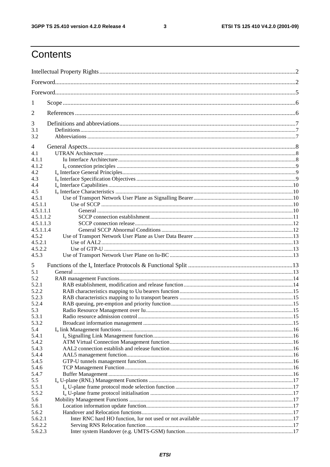$\mathbf{3}$ 

# Contents

| 1          |  |  |  |  |  |
|------------|--|--|--|--|--|
| 2          |  |  |  |  |  |
| 3          |  |  |  |  |  |
| 3.1<br>3.2 |  |  |  |  |  |
| 4          |  |  |  |  |  |
| 4.1        |  |  |  |  |  |
| 4.1.1      |  |  |  |  |  |
| 4.1.2      |  |  |  |  |  |
| 4.2        |  |  |  |  |  |
| 4.3        |  |  |  |  |  |
| 4.4        |  |  |  |  |  |
| 4.5        |  |  |  |  |  |
| 4.5.1      |  |  |  |  |  |
| 4.5.1.1    |  |  |  |  |  |
| 4.5.1.1.1  |  |  |  |  |  |
| 4.5.1.1.2  |  |  |  |  |  |
| 4.5.1.1.3  |  |  |  |  |  |
| 4.5.1.1.4  |  |  |  |  |  |
| 4.5.2      |  |  |  |  |  |
| 4.5.2.1    |  |  |  |  |  |
| 4.5.2.2    |  |  |  |  |  |
|            |  |  |  |  |  |
| 4.5.3      |  |  |  |  |  |
| 5          |  |  |  |  |  |
| 5.1        |  |  |  |  |  |
| 5.2        |  |  |  |  |  |
| 5.2.1      |  |  |  |  |  |
| 5.2.2      |  |  |  |  |  |
| 5.2.3      |  |  |  |  |  |
| 5.2.4      |  |  |  |  |  |
| 5.3        |  |  |  |  |  |
|            |  |  |  |  |  |
| 5.3.1      |  |  |  |  |  |
| 5.3.2      |  |  |  |  |  |
| 5.4        |  |  |  |  |  |
| 5.4.1      |  |  |  |  |  |
| 5.4.2      |  |  |  |  |  |
| 5.4.3      |  |  |  |  |  |
| 5.4.4      |  |  |  |  |  |
| 5.4.5      |  |  |  |  |  |
| 5.4.6      |  |  |  |  |  |
| 5.4.7      |  |  |  |  |  |
| 5.5        |  |  |  |  |  |
| 5.5.1      |  |  |  |  |  |
| 5.5.2      |  |  |  |  |  |
| 5.6        |  |  |  |  |  |
| 5.6.1      |  |  |  |  |  |
| 5.6.2      |  |  |  |  |  |
| 5.6.2.1    |  |  |  |  |  |
| 5.6.2.2    |  |  |  |  |  |
| 5.6.2.3    |  |  |  |  |  |
|            |  |  |  |  |  |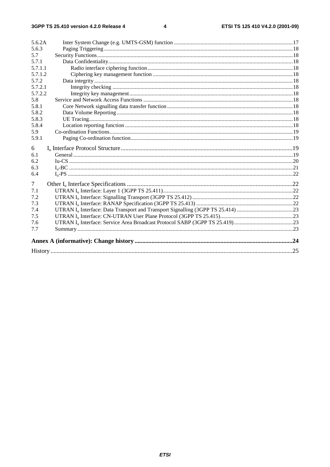| 5.6.2A  |  |
|---------|--|
| 5.6.3   |  |
| 5.7     |  |
| 5.7.1   |  |
| 5.7.1.1 |  |
| 5.7.1.2 |  |
| 5.7.2   |  |
| 5.7.2.1 |  |
| 5.7.2.2 |  |
| 5.8     |  |
| 5.8.1   |  |
| 5.8.2   |  |
| 5.8.3   |  |
| 5.8.4   |  |
| 5.9     |  |
| 5.9.1   |  |
| 6       |  |
| 6.1     |  |
| 6.2     |  |
| 6.3     |  |
| 6.4     |  |
| $\tau$  |  |
| 7.1     |  |
| 7.2     |  |
| 7.3     |  |
| 7.4     |  |
| 7.5     |  |
| 7.6     |  |
| 7.7     |  |
|         |  |
|         |  |
|         |  |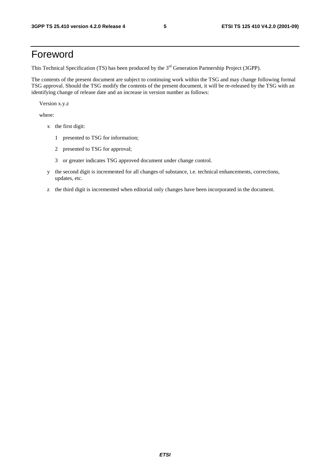# Foreword

This Technical Specification (TS) has been produced by the 3<sup>rd</sup> Generation Partnership Project (3GPP).

The contents of the present document are subject to continuing work within the TSG and may change following formal TSG approval. Should the TSG modify the contents of the present document, it will be re-released by the TSG with an identifying change of release date and an increase in version number as follows:

Version x.y.z

where:

- x the first digit:
	- 1 presented to TSG for information;
	- 2 presented to TSG for approval;
	- 3 or greater indicates TSG approved document under change control.
- y the second digit is incremented for all changes of substance, i.e. technical enhancements, corrections, updates, etc.
- z the third digit is incremented when editorial only changes have been incorporated in the document.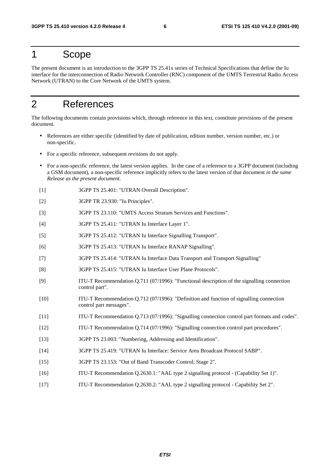### 1 Scope

The present document is an introduction to the 3GPP TS 25.41x series of Technical Specifications that define the Iu interface for the interconnection of Radio Network Controller (RNC) component of the UMTS Terrestrial Radio Access Network (UTRAN) to the Core Network of the UMTS system.

# 2 References

The following documents contain provisions which, through reference in this text, constitute provisions of the present document.

- References are either specific (identified by date of publication, edition number, version number, etc.) or non-specific.
- For a specific reference, subsequent revisions do not apply.
- For a non-specific reference, the latest version applies. In the case of a reference to a 3GPP document (including a GSM document), a non-specific reference implicitly refers to the latest version of that document *in the same Release as the present document*.
- [1] 3GPP TS 25.401: "UTRAN Overall Description".
- [2] 3GPP TR 23.930: "Iu Principles".
- [3] 3GPP TS 23.110: "UMTS Access Stratum Services and Functions".
- [4] 3GPP TS 25.411: "UTRAN Iu Interface Layer 1".
- [5] 3GPP TS 25.412: "UTRAN Iu Interface Signalling Transport".
- [6] 3GPP TS 25.413: "UTRAN Iu Interface RANAP Signalling".
- [7] 3GPP TS 25.414: "UTRAN Iu Interface Data Transport and Transport Signalling"
- [8] 3GPP TS 25.415: "UTRAN Iu Interface User Plane Protocols".
- [9] ITU-T Recommendation Q.711 (07/1996): "Functional description of the signalling connection control part".
- [10] ITU-T Recommendation Q.712 (07/1996): "Definition and function of signalling connection control part messages".
- [11] ITU-T Recommendation Q.713 (07/1996): "Signalling connection control part formats and codes".
- [12] ITU-T Recommendation Q.714 (07/1996): "Signalling connection control part procedures".
- [13] 3GPP TS 23.003: "Numbering, Addressing and Identification".
- [14] 3GPP TS 25.419: "UTRAN Iu Interface: Service Area Broadcast Protocol SABP".
- [15] 3GPP TS 23.153: "Out of Band Transcoder Control; Stage 2".
- [16] ITU-T Recommendation Q.2630.1: "AAL type 2 signalling protocol (Capability Set 1)".
- [17] ITU-T Recommendation Q.2630.2: "AAL type 2 signalling protocol Capability Set 2".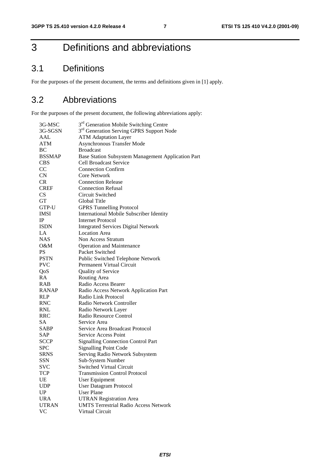# 3 Definitions and abbreviations

# 3.1 Definitions

For the purposes of the present document, the terms and definitions given in [1] apply.

# 3.2 Abbreviations

For the purposes of the present document, the following abbreviations apply:

| 3G-MSC                 | 3 <sup>rd</sup> Generation Mobile Switching Centre   |
|------------------------|------------------------------------------------------|
| 3G-SGSN                | 3 <sup>rd</sup> Generation Serving GPRS Support Node |
| AAL                    | <b>ATM Adaptation Layer</b>                          |
| ATM                    | <b>Asynchronous Transfer Mode</b>                    |
| BC                     | <b>Broadcast</b>                                     |
| <b>BSSMAP</b>          | Base Station Subsystem Management Application Part   |
| <b>CBS</b>             | <b>Cell Broadcast Service</b>                        |
| CC                     | <b>Connection Confirm</b>                            |
| CN                     | <b>Core Network</b>                                  |
| CR                     | <b>Connection Release</b>                            |
| <b>CREF</b>            | <b>Connection Refusal</b>                            |
| <b>CS</b>              | Circuit Switched                                     |
| <b>GT</b>              | Global Title                                         |
| GTP-U                  | <b>GPRS Tunnelling Protocol</b>                      |
| <b>IMSI</b>            | <b>International Mobile Subscriber Identity</b>      |
| $_{\rm IP}$            | <b>Internet Protocol</b>                             |
| <b>ISDN</b>            | <b>Integrated Services Digital Network</b>           |
| LA                     | <b>Location Area</b>                                 |
| <b>NAS</b>             | Non Access Stratum                                   |
| O&M                    | Operation and Maintenance                            |
| <b>PS</b>              | Packet Switched                                      |
| <b>PSTN</b>            | Public Switched Telephone Network                    |
| <b>PVC</b>             | Permanent Virtual Circuit                            |
| QoS                    | Quality of Service                                   |
| RA                     | Routing Area                                         |
| <b>RAB</b>             | Radio Access Bearer                                  |
| <b>RANAP</b>           | Radio Access Network Application Part                |
| <b>RLP</b>             | Radio Link Protocol                                  |
| <b>RNC</b>             | Radio Network Controller                             |
| <b>RNL</b>             | Radio Network Layer                                  |
| <b>RRC</b>             | Radio Resource Control                               |
| SA                     | Service Area                                         |
| SABP                   | Service Area Broadcast Protocol                      |
| SAP                    | <b>Service Access Point</b>                          |
| <b>SCCP</b>            | <b>Signalling Connection Control Part</b>            |
| <b>SPC</b>             | <b>Signalling Point Code</b>                         |
| <b>SRNS</b>            | Serving Radio Network Subsystem                      |
| SSN                    | Sub-System Number                                    |
| SVC                    | <b>Switched Virtual Circuit</b>                      |
| TCP                    | <b>Transmission Control Protocol</b>                 |
| UE                     | <b>User Equipment</b>                                |
| <b>UDP</b>             | <b>User Datagram Protocol</b>                        |
| $\mathbf{U}\mathbf{P}$ | <b>User Plane</b>                                    |
| <b>URA</b>             | <b>UTRAN Registration Area</b>                       |
| <b>UTRAN</b>           | <b>UMTS Terrestrial Radio Access Network</b>         |
| <b>VC</b>              | Virtual Circuit                                      |
|                        |                                                      |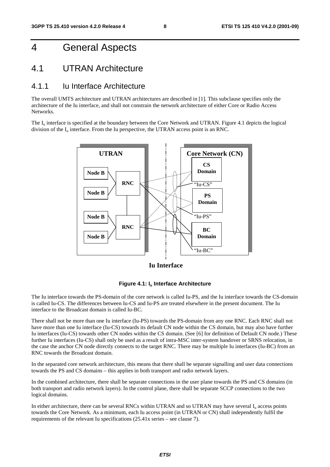# 4 General Aspects

### 4.1 UTRAN Architecture

#### 4.1.1 Iu Interface Architecture

The overall UMTS architecture and UTRAN architectures are described in [1]. This subclause specifies only the architecture of the Iu interface, and shall not constrain the network architecture of either Core or Radio Access Networks.

The  $I_{\text{u}}$  interface is specified at the boundary between the Core Network and UTRAN. Figure 4.1 depicts the logical division of the  $I_u$  interface. From the Iu perspective, the UTRAN access point is an RNC.



**Iu Interface**



The Iu interface towards the PS-domain of the core network is called Iu-PS, and the Iu interface towards the CS-domain is called Iu-CS. The differences between Iu-CS and Iu-PS are treated elsewhere in the present document. The Iu interface to the Broadcast domain is called Iu-BC.

There shall not be more than one Iu interface (Iu-PS) towards the PS-domain from any one RNC. Each RNC shall not have more than one Iu interface (Iu-CS) towards its default CN node within the CS domain, but may also have further Iu interfaces (Iu-CS) towards other CN nodes within the CS domain. (See [6] for definition of Default CN node.) These further Iu interfaces (Iu-CS) shall only be used as a result of intra-MSC inter-system handover or SRNS relocation, in the case the anchor CN node directly connects to the target RNC. There may be multiple Iu interfaces (Iu-BC) from an RNC towards the Broadcast domain.

In the separated core network architecture, this means that there shall be separate signalling and user data connections towards the PS and CS domains – this applies in both transport and radio network layers.

In the combined architecture, there shall be separate connections in the user plane towards the PS and CS domains (in both transport and radio network layers). In the control plane, there shall be separate SCCP connections to the two logical domains.

In either architecture, there can be several RNCs within UTRAN and so UTRAN may have several  $I<sub>u</sub>$  access points towards the Core Network. As a minimum, each Iu access point (in UTRAN or CN) shall independently fulfil the requirements of the relevant Iu specifications (25.41x series – see clause 7).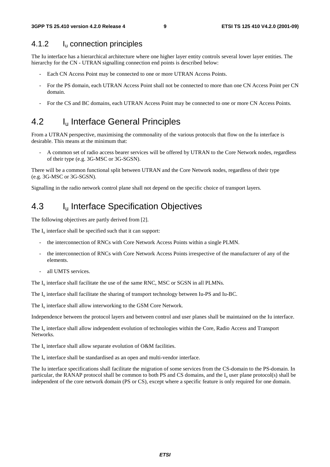### 4.1.2 Iu connection principles

The Iu interface has a hierarchical architecture where one higher layer entity controls several lower layer entities. The hierarchy for the CN - UTRAN signalling connection end points is described below:

- Each CN Access Point may be connected to one or more UTRAN Access Points.
- For the PS domain, each UTRAN Access Point shall not be connected to more than one CN Access Point per CN domain.
- For the CS and BC domains, each UTRAN Access Point may be connected to one or more CN Access Points.

# 4.2 I<sub>u</sub> Interface General Principles

From a UTRAN perspective, maximising the commonality of the various protocols that flow on the Iu interface is desirable. This means at the minimum that:

- A common set of radio access bearer services will be offered by UTRAN to the Core Network nodes, regardless of their type (e.g. 3G-MSC or 3G-SGSN).

There will be a common functional split between UTRAN and the Core Network nodes, regardless of their type (e.g. 3G-MSC or 3G-SGSN).

Signalling in the radio network control plane shall not depend on the specific choice of transport layers.

# 4.3 I<sub>u</sub> Interface Specification Objectives

The following objectives are partly derived from [2].

The  $I_{\text{u}}$  interface shall be specified such that it can support:

- the interconnection of RNCs with Core Network Access Points within a single PLMN.
- the interconnection of RNCs with Core Network Access Points irrespective of the manufacturer of any of the elements.
- all UMTS services.

The  $I_{\rm u}$  interface shall facilitate the use of the same RNC, MSC or SGSN in all PLMNs.

The  $I_u$  interface shall facilitate the sharing of transport technology between Iu-PS and Iu-BC.

The  $I_{\text{u}}$  interface shall allow interworking to the GSM Core Network.

Independence between the protocol layers and between control and user planes shall be maintained on the Iu interface.

The I<sub>u</sub> interface shall allow independent evolution of technologies within the Core, Radio Access and Transport Networks.

The  $I_u$  interface shall allow separate evolution of O&M facilities.

The  $I_{\rm u}$  interface shall be standardised as an open and multi-vendor interface.

The Iu interface specifications shall facilitate the migration of some services from the CS-domain to the PS-domain. In particular, the RANAP protocol shall be common to both PS and CS domains, and the  $I<sub>u</sub>$  user plane protocol(s) shall be independent of the core network domain (PS or CS), except where a specific feature is only required for one domain.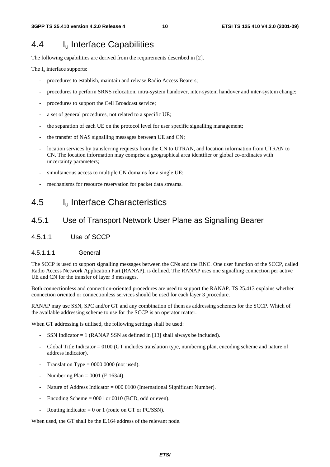### 4.4 Iu Interface Capabilities

The following capabilities are derived from the requirements described in [2].

The  $I_u$  interface supports:

- procedures to establish, maintain and release Radio Access Bearers;
- procedures to perform SRNS relocation, intra-system handover, inter-system handover and inter-system change;
- procedures to support the Cell Broadcast service;
- a set of general procedures, not related to a specific UE;
- the separation of each UE on the protocol level for user specific signalling management;
- the transfer of NAS signalling messages between UE and CN;
- location services by transferring requests from the CN to UTRAN, and location information from UTRAN to CN. The location information may comprise a geographical area identifier or global co-ordinates with uncertainty parameters;
- simultaneous access to multiple CN domains for a single UE;
- mechanisms for resource reservation for packet data streams.

### 4.5 Iu Interface Characteristics

#### 4.5.1 Use of Transport Network User Plane as Signalling Bearer

4.5.1.1 Use of SCCP

#### 4.5.1.1.1 General

The SCCP is used to support signalling messages between the CNs and the RNC. One user function of the SCCP, called Radio Access Network Application Part (RANAP), is defined. The RANAP uses one signalling connection per active UE and CN for the transfer of layer 3 messages.

Both connectionless and connection-oriented procedures are used to support the RANAP. TS 25.413 explains whether connection oriented or connectionless services should be used for each layer 3 procedure.

RANAP may use SSN, SPC and/or GT and any combination of them as addressing schemes for the SCCP. Which of the available addressing scheme to use for the SCCP is an operator matter.

When GT addressing is utilised, the following settings shall be used:

- SSN Indicator  $= 1$  (RANAP SSN as defined in [13] shall always be included).
- Global Title Indicator = 0100 (GT includes translation type, numbering plan, encoding scheme and nature of address indicator).
- Translation Type  $= 0000 0000$  (not used).
- Numbering Plan =  $0001$  (E.163/4).
- Nature of Address Indicator = 000 0100 (International Significant Number).
- Encoding Scheme  $= 0001$  or 0010 (BCD, odd or even).
- Routing indicator = 0 or 1 (route on GT or PC/SSN).

When used, the GT shall be the E.164 address of the relevant node.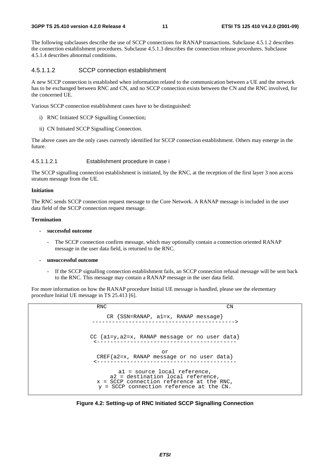The following subclauses describe the use of SCCP connections for RANAP transactions. Subclause 4.5.1.2 describes the connection establishment procedures. Subclause 4.5.1.3 describes the connection release procedures. Subclause 4.5.1.4 describes abnormal conditions.

#### 4.5.1.1.2 SCCP connection establishment

A new SCCP connection is established when information related to the communication between a UE and the network has to be exchanged between RNC and CN, and no SCCP connection exists between the CN and the RNC involved, for the concerned UE.

Various SCCP connection establishment cases have to be distinguished:

- i) RNC Initiated SCCP Signalling Connection;
- ii) CN Initiated SCCP Signalling Connection.

The above cases are the only cases currently identified for SCCP connection establishment. Others may emerge in the future.

#### 4.5.1.1.2.1 Establishment procedure in case i

The SCCP signalling connection establishment is initiated, by the RNC, at the reception of the first layer 3 non access stratum message from the UE.

#### **Initiation**

The RNC sends SCCP connection request message to the Core Network. A RANAP message is included in the user data field of the SCCP connection request message.

#### **Termination**

- **successful outcome** 
	- The SCCP connection confirm message, which may optionally contain a connection oriented RANAP message in the user data field, is returned to the RNC.
- **unsuccessful outcome** 
	- If the SCCP signalling connection establishment fails, an SCCP connection refusal message will be sent back to the RNC. This message may contain a RANAP message in the user data field.

For more information on how the RANAP procedure Initial UE message is handled, please see the elementary procedure Initial UE message in TS 25.413 [6].

| <b>RNC</b>                                                                                                                                                        | CΝ |
|-------------------------------------------------------------------------------------------------------------------------------------------------------------------|----|
| CR $\{SSN=RANAP, a1=x, RANAP message\}$                                                                                                                           |    |
| CC $\{a1=y, a2=x, RANAP message or no user data\}$                                                                                                                |    |
| or<br>CREF ${az=x, RANAP message or no user data}$                                                                                                                |    |
| al = source local reference,<br>a2 = destination local reference,<br>$x =$ SCCP connection reference at the RNC,<br>$y = SCCP$ connection reference at the $CN$ . |    |

**Figure 4.2: Setting-up of RNC Initiated SCCP Signalling Connection**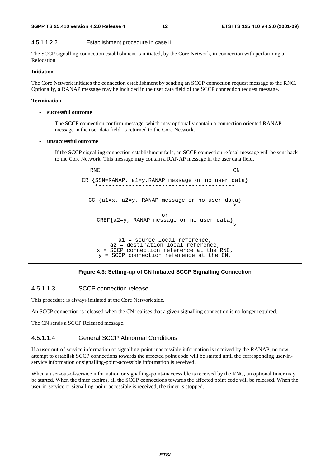#### 4.5.1.1.2.2 Establishment procedure in case ii

The SCCP signalling connection establishment is initiated, by the Core Network, in connection with performing a Relocation.

#### **Initiation**

The Core Network initiates the connection establishment by sending an SCCP connection request message to the RNC. Optionally, a RANAP message may be included in the user data field of the SCCP connection request message.

#### **Termination**

- **successful outcome** 
	- The SCCP connection confirm message, which may optionally contain a connection oriented RANAP message in the user data field, is returned to the Core Network.
- **unsuccessful outcome** 
	- If the SCCP signalling connection establishment fails, an SCCP connection refusal message will be sent back to the Core Network. This message may contain a RANAP message in the user data field.

RNC CN CR {SSN=RANAP, a1=y,RANAP message or no user data} <----------------------------------------- CC {a1=x, a2=y, RANAP message or no user data} ------------------------------------------> or CREF{a2=y, RANAP message or no user data} ------------------------------------------> a1 = source local reference, a2 = destination local reference, x = SCCP connection reference at the RNC, y = SCCP connection reference at the CN.

#### **Figure 4.3: Setting-up of CN Initiated SCCP Signalling Connection**

#### 4.5.1.1.3 SCCP connection release

This procedure is always initiated at the Core Network side.

An SCCP connection is released when the CN realises that a given signalling connection is no longer required.

The CN sends a SCCP Released message.

#### 4.5.1.1.4 General SCCP Abnormal Conditions

If a user-out-of-service information or signalling-point-inaccessible information is received by the RANAP, no new attempt to establish SCCP connections towards the affected point code will be started until the corresponding user-inservice information or signalling-point-accessible information is received.

When a user-out-of-service information or signalling-point-inaccessible is received by the RNC, an optional timer may be started. When the timer expires, all the SCCP connections towards the affected point code will be released. When the user-in-service or signalling-point-accessible is received, the timer is stopped.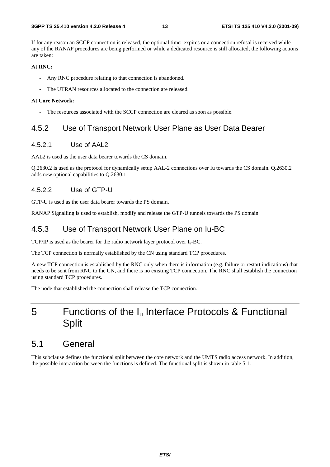If for any reason an SCCP connection is released, the optional timer expires or a connection refusal is received while any of the RANAP procedures are being performed or while a dedicated resource is still allocated, the following actions are taken:

#### **At RNC:**

- Any RNC procedure relating to that connection is abandoned.
- The UTRAN resources allocated to the connection are released.

#### **At Core Network:**

The resources associated with the SCCP connection are cleared as soon as possible.

#### 4.5.2 Use of Transport Network User Plane as User Data Bearer

#### 4.5.2.1 Use of AAL2

AAL2 is used as the user data bearer towards the CS domain.

Q.2630.2 is used as the protocol for dynamically setup AAL-2 connections over Iu towards the CS domain. Q.2630.2 adds new optional capabilities to Q.2630.1.

#### 4.5.2.2 Use of GTP-U

GTP-U is used as the user data bearer towards the PS domain.

RANAP Signalling is used to establish, modify and release the GTP-U tunnels towards the PS domain.

#### 4.5.3 Use of Transport Network User Plane on Iu-BC

TCP/IP is used as the bearer for the radio network layer protocol over  $I_u$ -BC.

The TCP connection is normally established by the CN using standard TCP procedures.

A new TCP connection is established by the RNC only when there is information (e.g. failure or restart indications) that needs to be sent from RNC to the CN, and there is no existing TCP connection. The RNC shall establish the connection using standard TCP procedures.

The node that established the connection shall release the TCP connection.

# 5 Functions of the  $I_u$  Interface Protocols & Functional **Split**

### 5.1 General

This subclause defines the functional split between the core network and the UMTS radio access network. In addition, the possible interaction between the functions is defined. The functional split is shown in table 5.1.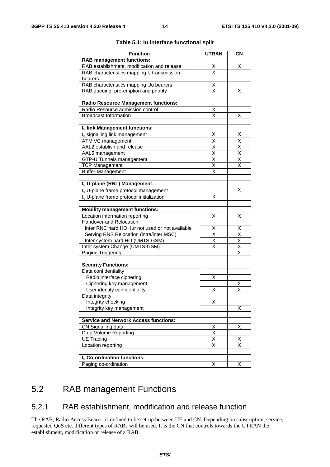| <b>Function</b>                                      | <b>UTRAN</b>                        | <b>CN</b>                           |
|------------------------------------------------------|-------------------------------------|-------------------------------------|
| <b>RAB management functions:</b>                     |                                     |                                     |
| RAB establishment, modification and release          |                                     | х                                   |
| RAB characteristics mapping $I_u$ transmission       | $\frac{x}{x}$                       |                                     |
| bearers                                              |                                     |                                     |
| RAB characteristics mapping Uu bearers               | $\overline{\mathsf{X}}$             |                                     |
| RAB queuing, pre-emption and priority                | $\overline{\mathsf{x}}$             | х                                   |
|                                                      |                                     |                                     |
| <b>Radio Resource Management functions:</b>          |                                     |                                     |
| Radio Resource admission control                     | $\frac{\text{X}}{\text{X}}$         |                                     |
| <b>Broadcast Information</b>                         |                                     | Χ                                   |
| Iu link Management functions:                        |                                     |                                     |
| I <sub>u</sub> signalling link management            | Χ                                   | Χ                                   |
| ATM VC management                                    | X                                   | Χ                                   |
| AAL2 establish and release                           |                                     | $\overline{\mathsf{X}}$             |
| AAL5 management                                      | $\frac{\overline{x}}{\overline{x}}$ | $\overline{\mathsf{x}}$             |
| GTP-U Tunnels management                             | $\overline{\mathsf{x}}$             | Χ                                   |
| <b>TCP Management</b>                                | $\overline{\mathsf{x}}$             | $\overline{\mathsf{x}}$             |
| <b>Buffer Management</b>                             | X                                   |                                     |
|                                                      |                                     |                                     |
| Iu U-plane (RNL) Management:                         |                                     |                                     |
| I <sub>u</sub> U-plane frame protocol management     |                                     | X                                   |
| I <sub>u</sub> U-plane frame protocol initialization | X                                   |                                     |
|                                                      |                                     |                                     |
| <b>Mobility management functions:</b>                |                                     |                                     |
| Location information reporting                       | Χ                                   | х                                   |
| Handover and Relocation                              |                                     |                                     |
| Inter RNC hard HO, lur not used or not available     | X                                   | $\frac{X}{X}$                       |
| Serving RNS Relocation (intra/inter MSC)             | $\overline{\mathsf{x}}$             |                                     |
| Inter system hard HO (UMTS-GSM)                      | $\overline{\mathsf{x}}$             | $\overline{\mathsf{X}}$             |
| Inter system Change (UMTS-GSM)                       | X                                   | $\frac{\overline{x}}{\overline{x}}$ |
| Paging Triggering                                    |                                     |                                     |
|                                                      |                                     |                                     |
| <b>Security Functions:</b><br>Data confidentiality   |                                     |                                     |
| Radio interface ciphering                            |                                     |                                     |
| Ciphering key management                             | Χ                                   | х                                   |
| User identity confidentiality                        | Χ                                   | $\overline{\mathsf{x}}$             |
| Data integrity                                       |                                     |                                     |
| Integrity checking                                   | Χ                                   |                                     |
| Integrity key management                             |                                     | Χ                                   |
|                                                      |                                     |                                     |
| <b>Service and Network Access functions:</b>         |                                     |                                     |
| CN Signalling data                                   | $\overline{\mathsf{X}}$             | Χ                                   |
| Data Volume Reporting                                | $\overline{\mathsf{x}}$             |                                     |
| <b>UE Tracing</b>                                    | $\overline{\mathsf{x}}$             | Х                                   |
| Location reporting                                   | $\overline{\mathsf{x}}$             | $\overline{\mathsf{x}}$             |
|                                                      |                                     |                                     |
| I <sub>u</sub> Co-ordination functions:              |                                     |                                     |
| Paging co-ordination                                 | X                                   | Χ                                   |

#### **Table 5.1: Iu interface functional split**

# 5.2 RAB management Functions

### 5.2.1 RAB establishment, modification and release function

The RAB, Radio Access Bearer, is defined to be set-up between UE and CN. Depending on subscription, service, requested QoS etc. different types of RABs will be used. It is the CN that controls towards the UTRAN the establishment, modification or release of a RAB.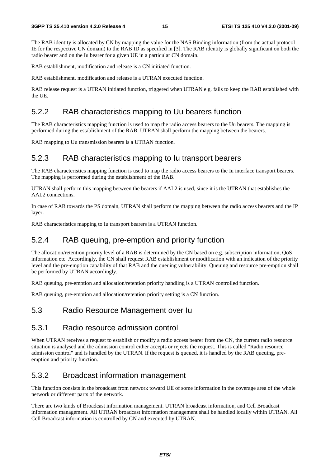The RAB identity is allocated by CN by mapping the value for the NAS Binding information (from the actual protocol IE for the respective CN domain) to the RAB ID as specified in [3]. The RAB identity is globally significant on both the radio bearer and on the Iu bearer for a given UE in a particular CN domain.

RAB establishment, modification and release is a CN initiated function.

RAB establishment, modification and release is a UTRAN executed function.

RAB release request is a UTRAN initiated function, triggered when UTRAN e.g. fails to keep the RAB established with the UE.

#### 5.2.2 RAB characteristics mapping to Uu bearers function

The RAB characteristics mapping function is used to map the radio access bearers to the Uu bearers. The mapping is performed during the establishment of the RAB. UTRAN shall perform the mapping between the bearers.

RAB mapping to Uu transmission bearers is a UTRAN function.

#### 5.2.3 RAB characteristics mapping to Iu transport bearers

The RAB characteristics mapping function is used to map the radio access bearers to the Iu interface transport bearers. The mapping is performed during the establishment of the RAB.

UTRAN shall perform this mapping between the bearers if AAL2 is used, since it is the UTRAN that establishes the AAL2 connections.

In case of RAB towards the PS domain, UTRAN shall perform the mapping between the radio access bearers and the IP layer.

RAB characteristics mapping to Iu transport bearers is a UTRAN function.

### 5.2.4 RAB queuing, pre-emption and priority function

The allocation/retention priority level of a RAB is determined by the CN based on e.g. subscription information, QoS information etc. Accordingly, the CN shall request RAB establishment or modification with an indication of the priority level and the pre-emption capability of that RAB and the queuing vulnerability. Queuing and resource pre-emption shall be performed by UTRAN accordingly.

RAB queuing, pre-emption and allocation/retention priority handling is a UTRAN controlled function.

RAB queuing, pre-emption and allocation/retention priority setting is a CN function.

#### 5.3 Radio Resource Management over Iu

#### 5.3.1 Radio resource admission control

When UTRAN receives a request to establish or modify a radio access bearer from the CN, the current radio resource situation is analysed and the admission control either accepts or rejects the request. This is called "Radio resource admission control" and is handled by the UTRAN. If the request is queued, it is handled by the RAB queuing, preemption and priority function.

#### 5.3.2 Broadcast information management

This function consists in the broadcast from network toward UE of some information in the coverage area of the whole network or different parts of the network.

There are two kinds of Broadcast information management. UTRAN broadcast information, and Cell Broadcast information management. All UTRAN broadcast information management shall be handled locally within UTRAN. All Cell Broadcast information is controlled by CN and executed by UTRAN.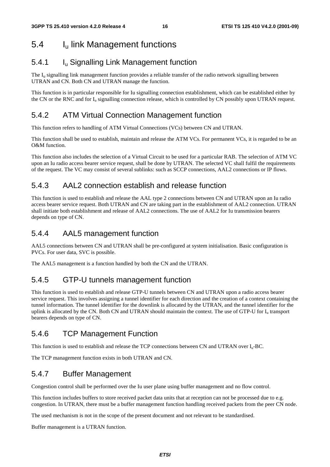# 5.4 Iu link Management functions

# 5.4.1 Iu Signalling Link Management function

The  $I<sub>u</sub>$  signalling link management function provides a reliable transfer of the radio network signalling between UTRAN and CN. Both CN and UTRAN manage the function.

This function is in particular responsible for Iu signalling connection establishment, which can be established either by the CN or the RNC and for  $I_u$  signalling connection release, which is controlled by CN possibly upon UTRAN request.

### 5.4.2 ATM Virtual Connection Management function

This function refers to handling of ATM Virtual Connections (VCs) between CN and UTRAN.

This function shall be used to establish, maintain and release the ATM VCs. For permanent VCs, it is regarded to be an O&M function.

This function also includes the selection of a Virtual Circuit to be used for a particular RAB. The selection of ATM VC upon an Iu radio access bearer service request, shall be done by UTRAN. The selected VC shall fulfil the requirements of the request. The VC may consist of several sublinks: such as SCCP connections, AAL2 connections or IP flows.

### 5.4.3 AAL2 connection establish and release function

This function is used to establish and release the AAL type 2 connections between CN and UTRAN upon an Iu radio access bearer service request. Both UTRAN and CN are taking part in the establishment of AAL2 connection. UTRAN shall initiate both establishment and release of AAL2 connections. The use of AAL2 for Iu transmission bearers depends on type of CN.

### 5.4.4 AAL5 management function

AAL5 connections between CN and UTRAN shall be pre-configured at system initialisation. Basic configuration is PVCs. For user data, SVC is possible.

The AAL5 management is a function handled by both the CN and the UTRAN.

### 5.4.5 GTP-U tunnels management function

This function is used to establish and release GTP-U tunnels between CN and UTRAN upon a radio access bearer service request. This involves assigning a tunnel identifier for each direction and the creation of a context containing the tunnel information. The tunnel identifier for the downlink is allocated by the UTRAN, and the tunnel identifier for the uplink is allocated by the CN. Both CN and UTRAN should maintain the context. The use of GTP-U for  $I<sub>u</sub>$  transport bearers depends on type of CN.

### 5.4.6 TCP Management Function

This function is used to establish and release the TCP connections between CN and UTRAN over  $I_{u}$ -BC.

The TCP management function exists in both UTRAN and CN.

### 5.4.7 Buffer Management

Congestion control shall be performed over the Iu user plane using buffer management and no flow control.

This function includes buffers to store received packet data units that at reception can not be processed due to e.g. congestion. In UTRAN, there must be a buffer management function handling received packets from the peer CN node.

The used mechanism is not in the scope of the present document and not relevant to be standardised.

Buffer management is a UTRAN function.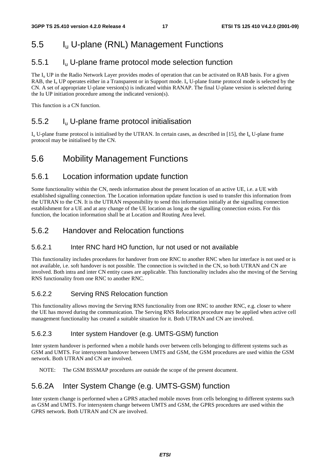# 5.5 Iu U-plane (RNL) Management Functions

### 5.5.1 Iu U-plane frame protocol mode selection function

The  $I_u$  UP in the Radio Network Layer provides modes of operation that can be activated on RAB basis. For a given RAB, the I<sub>u</sub> UP operates either in a Transparent or in Support mode. I<sub>u</sub> U-plane frame protocol mode is selected by the CN. A set of appropriate U-plane version(s) is indicated within RANAP. The final U-plane version is selected during the Iu UP initiation procedure among the indicated version(s).

This function is a CN function.

### 5.5.2 Iu U-plane frame protocol initialisation

 $I_{\rm u}$  U-plane frame protocol is initialised by the UTRAN. In certain cases, as described in [15], the  $I_{\rm u}$  U-plane frame protocol may be initialised by the CN.

### 5.6 Mobility Management Functions

### 5.6.1 Location information update function

Some functionality within the CN, needs information about the present location of an active UE, i.e. a UE with established signalling connection. The Location information update function is used to transfer this information from the UTRAN to the CN. It is the UTRAN responsibility to send this information initially at the signalling connection establishment for a UE and at any change of the UE location as long as the signalling connection exists. For this function, the location information shall be at Location and Routing Area level.

### 5.6.2 Handover and Relocation functions

#### 5.6.2.1 Inter RNC hard HO function, Iur not used or not available

This functionality includes procedures for handover from one RNC to another RNC when Iur interface is not used or is not available, i.e. soft handover is not possible. The connection is switched in the CN, so both UTRAN and CN are involved. Both intra and inter CN entity cases are applicable. This functionality includes also the moving of the Serving RNS functionality from one RNC to another RNC.

#### 5.6.2.2 Serving RNS Relocation function

This functionality allows moving the Serving RNS functionality from one RNC to another RNC, e.g. closer to where the UE has moved during the communication. The Serving RNS Relocation procedure may be applied when active cell management functionality has created a suitable situation for it. Both UTRAN and CN are involved.

#### 5.6.2.3 Inter system Handover (e.g. UMTS-GSM) function

Inter system handover is performed when a mobile hands over between cells belonging to different systems such as GSM and UMTS. For intersystem handover between UMTS and GSM, the GSM procedures are used within the GSM network. Both UTRAN and CN are involved.

NOTE: The GSM BSSMAP procedures are outside the scope of the present document.

### 5.6.2A Inter System Change (e.g. UMTS-GSM) function

Inter system change is performed when a GPRS attached mobile moves from cells belonging to different systems such as GSM and UMTS. For intersystem change between UMTS and GSM, the GPRS procedures are used within the GPRS network. Both UTRAN and CN are involved.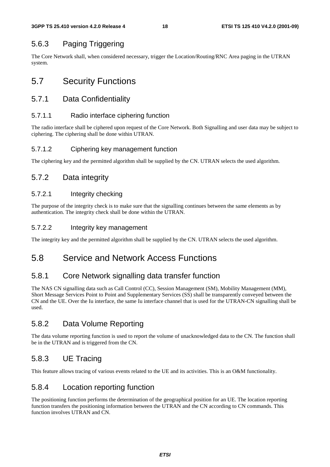### 5.6.3 Paging Triggering

The Core Network shall, when considered necessary, trigger the Location/Routing/RNC Area paging in the UTRAN system.

### 5.7 Security Functions

### 5.7.1 Data Confidentiality

#### 5.7.1.1 Radio interface ciphering function

The radio interface shall be ciphered upon request of the Core Network. Both Signalling and user data may be subject to ciphering. The ciphering shall be done within UTRAN.

#### 5.7.1.2 Ciphering key management function

The ciphering key and the permitted algorithm shall be supplied by the CN. UTRAN selects the used algorithm.

### 5.7.2 Data integrity

#### 5.7.2.1 Integrity checking

The purpose of the integrity check is to make sure that the signalling continues between the same elements as by authentication. The integrity check shall be done within the UTRAN.

#### 5.7.2.2 Integrity key management

The integrity key and the permitted algorithm shall be supplied by the CN. UTRAN selects the used algorithm.

### 5.8 Service and Network Access Functions

#### 5.8.1 Core Network signalling data transfer function

The NAS CN signalling data such as Call Control (CC), Session Management (SM), Mobility Management (MM), Short Message Services Point to Point and Supplementary Services (SS) shall be transparently conveyed between the CN and the UE. Over the Iu interface, the same Iu interface channel that is used for the UTRAN-CN signalling shall be used.

### 5.8.2 Data Volume Reporting

The data volume reporting function is used to report the volume of unacknowledged data to the CN. The function shall be in the UTRAN and is triggered from the CN.

### 5.8.3 UE Tracing

This feature allows tracing of various events related to the UE and its activities. This is an O&M functionality.

### 5.8.4 Location reporting function

The positioning function performs the determination of the geographical position for an UE. The location reporting function transfers the positioning information between the UTRAN and the CN according to CN commands. This function involves UTRAN and CN.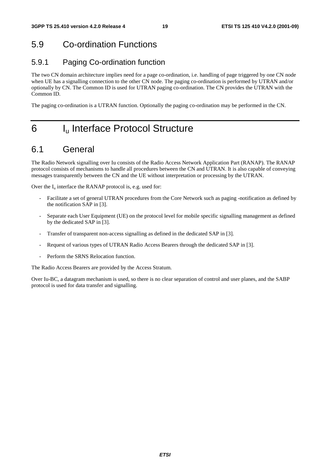# 5.9 Co-ordination Functions

### 5.9.1 Paging Co-ordination function

The two CN domain architecture implies need for a page co-ordination, i.e. handling of page triggered by one CN node when UE has a signalling connection to the other CN node. The paging co-ordination is performed by UTRAN and/or optionally by CN. The Common ID is used for UTRAN paging co-ordination. The CN provides the UTRAN with the Common ID.

The paging co-ordination is a UTRAN function. Optionally the paging co-ordination may be performed in the CN.

# 6 I<sub>u</sub> Interface Protocol Structure

### 6.1 General

The Radio Network signalling over Iu consists of the Radio Access Network Application Part (RANAP). The RANAP protocol consists of mechanisms to handle all procedures between the CN and UTRAN. It is also capable of conveying messages transparently between the CN and the UE without interpretation or processing by the UTRAN.

Over the  $I_u$  interface the RANAP protocol is, e.g. used for:

- Facilitate a set of general UTRAN procedures from the Core Network such as paging -notification as defined by the notification SAP in [3].
- Separate each User Equipment (UE) on the protocol level for mobile specific signalling management as defined by the dedicated SAP in [3].
- Transfer of transparent non-access signalling as defined in the dedicated SAP in [3].
- Request of various types of UTRAN Radio Access Bearers through the dedicated SAP in [3].
- Perform the SRNS Relocation function.

The Radio Access Bearers are provided by the Access Stratum.

Over Iu-BC, a datagram mechanism is used, so there is no clear separation of control and user planes, and the SABP protocol is used for data transfer and signalling.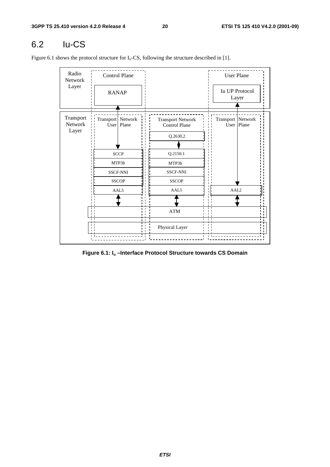# 6.2 Iu-CS

Figure 6.1 shows the protocol structure for  $I_u$ -CS, following the structure described in [1].

|              |  |                                                                                                                      | <b>User Plane</b>                                                              |
|--------------|--|----------------------------------------------------------------------------------------------------------------------|--------------------------------------------------------------------------------|
| <b>RANAP</b> |  |                                                                                                                      | <b>Iu UP Protocol</b><br>Layer                                                 |
|              |  | <b>Transport Network</b><br>Control Plane<br>Q.2630.2                                                                | Transport Network<br>User   Plane                                              |
|              |  | Q.2150.1                                                                                                             |                                                                                |
|              |  | <b>SSCF-NNI</b>                                                                                                      |                                                                                |
| AAL5         |  | AAL5                                                                                                                 | AAL <sub>2</sub>                                                               |
|              |  | $\bold{ATM}$                                                                                                         |                                                                                |
|              |  | Physical Layer                                                                                                       |                                                                                |
|              |  | <b>Control Plane</b><br>Transport Network<br>User   Plane<br><b>SCCP</b><br>MTP3b<br><b>SSCF-NNI</b><br><b>SSCOP</b> | MTP3b<br><b>SSCOP</b><br>$\blacksquare$<br>$\mathbf{I}$<br>. .<br>$\mathbf{L}$ |

**Figure 6.1: Iu –Interface Protocol Structure towards CS Domain**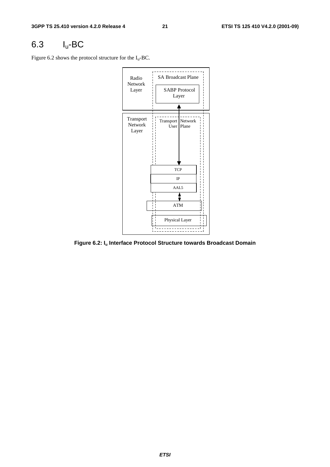# 6.3 Iu-BC

Figure 6.2 shows the protocol structure for the  $I_u$ -BC.



**Figure 6.2: Iu Interface Protocol Structure towards Broadcast Domain**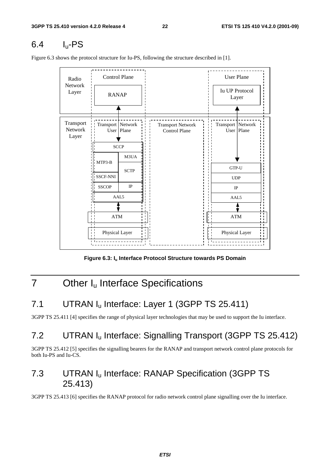# $6.4$  I<sub>u</sub>-PS

<u> - - - - - - - - - - -</u> Control Plane (User Plane Radio Network Iu UP Protocol Layer RANAP Layer Transport Transport Network Transport Network Transport Network Network User Plane Control Plane User Plane Layer **SCCP** M3UA MTP3-B GTP-U **SCTP** SSCF-NNI SSCF-NNI UDP IP **SSCOP** IP AAL5 AAL5 ATM ATM Physical Layer Physical Layer

Figure 6.3 shows the protocol structure for Iu-PS, following the structure described in [1].

Figure 6.3: I<sub>u</sub> Interface Protocol Structure towards PS Domain

# 7 Other I<sub>u</sub> Interface Specifications

### 7.1 UTRAN I<sub>u</sub> Interface: Layer 1 (3GPP TS 25.411)

3GPP TS 25.411 [4] specifies the range of physical layer technologies that may be used to support the Iu interface.

### 7.2 UTRAN Iu Interface: Signalling Transport (3GPP TS 25.412)

3GPP TS 25.412 [5] specifies the signalling bearers for the RANAP and transport network control plane protocols for both Iu-PS and Iu-CS.

### 7.3 UTRAN Iu Interface: RANAP Specification (3GPP TS 25.413)

3GPP TS 25.413 [6] specifies the RANAP protocol for radio network control plane signalling over the Iu interface.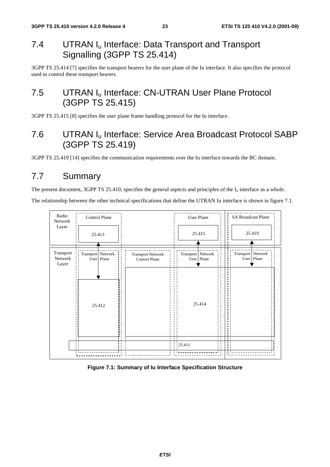### 7.4 UTRAN I<sub>u</sub> Interface: Data Transport and Transport Signalling (3GPP TS 25.414)

3GPP TS 25.414 [7] specifies the transport bearers for the user plane of the Iu interface. It also specifies the protocol used to control these transport bearers.

### 7.5 UTRAN I<sub>u</sub> Interface: CN-UTRAN User Plane Protocol (3GPP TS 25.415)

3GPP TS 25.415 [8] specifies the user plane frame handling protocol for the Iu interface.

### 7.6 UTRAN Iu Interface: Service Area Broadcast Protocol SABP (3GPP TS 25.419)

3GPP TS 25.419 [14] specifies the communication requirements over the Iu interface towards the BC domain.

# 7.7 Summary

The present document, 3GPP TS 25.410, specifies the general aspects and principles of the  $I_u$  interface as a whole.

The relationship between the other technical specifications that define the UTRAN Iu interface is shown in figure 7.1.



#### **Figure 7.1: Summary of Iu Interface Specification Structure**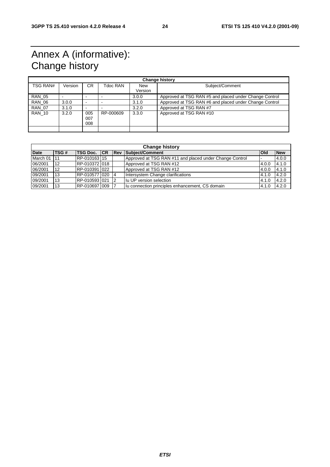# Annex A (informative): Change history

| <b>Change history</b> |         |                          |           |                       |                                                        |  |
|-----------------------|---------|--------------------------|-----------|-----------------------|--------------------------------------------------------|--|
| <b>TSG RAN#</b>       | Version | CR.                      | Tdoc RAN  | <b>New</b><br>Version | Subject/Comment                                        |  |
| <b>RAN 05</b>         |         |                          |           | 3.0.0                 | Approved at TSG RAN #5 and placed under Change Control |  |
| <b>RAN 06</b>         | 3.0.0   | $\overline{\phantom{0}}$ |           | 3.1.0                 | Approved at TSG RAN #6 and placed under Change Control |  |
| <b>RAN 07</b>         | 3.1.0   | $\overline{\phantom{0}}$ |           | 3.2.0                 | Approved at TSG RAN #7                                 |  |
| <b>RAN 10</b>         | 3.2.0   | 005<br>007<br>008        | RP-000609 | 3.3.0                 | Approved at TSG RAN #10                                |  |
|                       |         |                          |           |                       |                                                        |  |

| <b>Change history</b> |                   |                     |  |             |                                                         |            |            |
|-----------------------|-------------------|---------------------|--|-------------|---------------------------------------------------------|------------|------------|
| <b>Date</b>           | TSG#              | <b>TSG Doc. ICR</b> |  | <b>IRev</b> | Subject/Comment                                         | <b>Old</b> | <b>New</b> |
| March 01              | l 11              | RP-010163 15        |  |             | Approved at TSG RAN #11 and placed under Change Control |            | 4.0.0      |
| 06/2001               | 12                | RP-010372 018       |  |             | Approved at TSG RAN #12                                 | 4.0.0      | 4.1.0      |
| 06/2001               | $12 \overline{ }$ | RP-010391 022       |  |             | Approved at TSG RAN #12                                 | 4.0.0      | 4.1.0      |
| 09/2001               | 13                | RP-0105771020       |  | <b>4</b>    | Intersystem Change clarifications                       | 4.1.0      | 4.2.0      |
| 09/2001               | 13                | RP-0105931021       |  | 2           | I lu UP version selection                               | 4.1.0      | 4.2.0      |
| 09/2001               | 13                | RP-010697 009       |  |             | Iu connection principles enhancement, CS domain         | 4.1.0      | 4.2.0      |